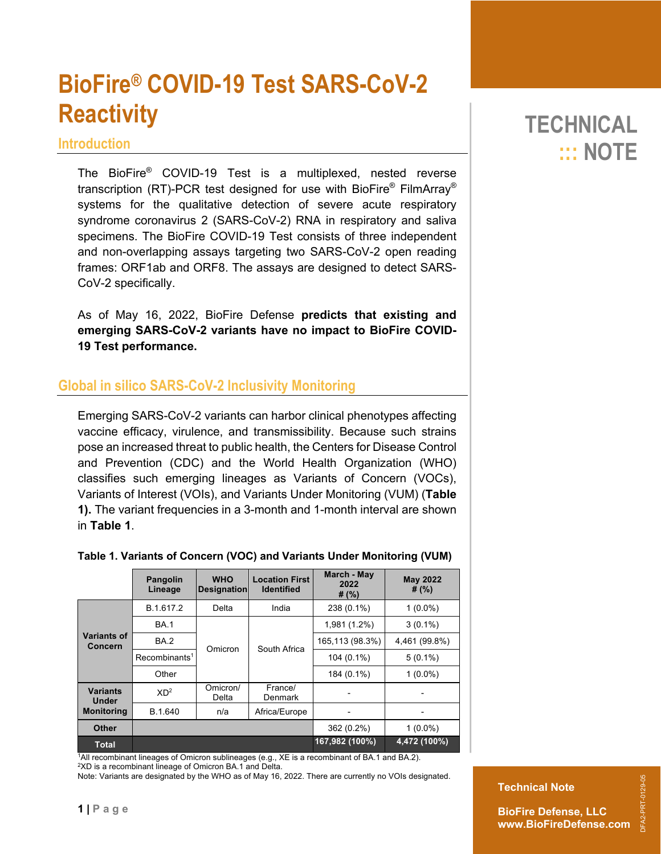# **BioFire® COVID-19 Test SARS-CoV-2 Reactivity**

#### **Introduction**

The BioFire® COVID-19 Test is a multiplexed, nested reverse transcription (RT)-PCR test designed for use with BioFire® FilmArray® systems for the qualitative detection of severe acute respiratory syndrome coronavirus 2 (SARS-CoV-2) RNA in respiratory and saliva specimens. The BioFire COVID-19 Test consists of three independent and non-overlapping assays targeting two SARS-CoV-2 open reading frames: ORF1ab and ORF8. The assays are designed to detect SARS-CoV-2 specifically.

As of May 16, 2022, BioFire Defense **predicts that existing and emerging SARS-CoV-2 variants have no impact to BioFire COVID-19 Test performance.** 

## **Global in silico SARS-CoV-2 Inclusivity Monitoring**

Emerging SARS-CoV-2 variants can harbor clinical phenotypes affecting vaccine efficacy, virulence, and transmissibility. Because such strains pose an increased threat to public health, the Centers for Disease Control and Prevention (CDC) and the World Health Organization (WHO) classifies such emerging lineages as Variants of Concern (VOCs), Variants of Interest (VOIs), and Variants Under Monitoring (VUM) (**Table 1).** The variant frequencies in a 3-month and 1-month interval are shown in **Table 1**.

|                                                      | <b>Pangolin</b><br>Lineage | <b>WHO</b><br><b>Designation</b> | <b>Location First</b><br><b>Identified</b> | March - May<br>2022<br># $(% )$ | <b>May 2022</b><br># $(\%)$ |
|------------------------------------------------------|----------------------------|----------------------------------|--------------------------------------------|---------------------------------|-----------------------------|
| Variants of<br><b>Concern</b>                        | B.1.617.2                  | Delta                            | India                                      | 238 (0.1%)                      | $1(0.0\%)$                  |
|                                                      | <b>BA.1</b>                |                                  | South Africa                               | 1,981 (1.2%)                    | $3(0.1\%)$                  |
|                                                      | <b>BA.2</b>                | Omicron                          |                                            | 165,113 (98.3%)                 | 4,461 (99.8%)               |
|                                                      | Recombinants <sup>1</sup>  |                                  |                                            | 104 (0.1%)                      | $5(0.1\%)$                  |
|                                                      | Other                      |                                  |                                            | 184 (0.1%)                      | $1(0.0\%)$                  |
| <b>Variants</b><br><b>Under</b><br><b>Monitoring</b> | $XD^2$                     | Omicron/<br>Delta                | France/<br>Denmark                         |                                 |                             |
|                                                      | B.1.640                    | n/a                              | Africa/Europe                              |                                 |                             |
| Other                                                |                            |                                  |                                            | 362 (0.2%)                      | $1(0.0\%)$                  |
| <b>Total</b>                                         |                            |                                  |                                            | 167,982 (100%)                  | 4,472 (100%)                |

#### **Table 1. Variants of Concern (VOC) and Variants Under Monitoring (VUM)**

1All recombinant lineages of Omicron sublineages (e.g., XE is a recombinant of BA.1 and BA.2).

2XD is a recombinant lineage of Omicron BA.1 and Delta.

**1 | Page**

Note: Variants are designated by the WHO as of May 16, 2022. There are currently no VOIs designated.

## **TECHNICAL ::: NOTE**

**BioFire Defense, LLC www.BioFireDefense.com**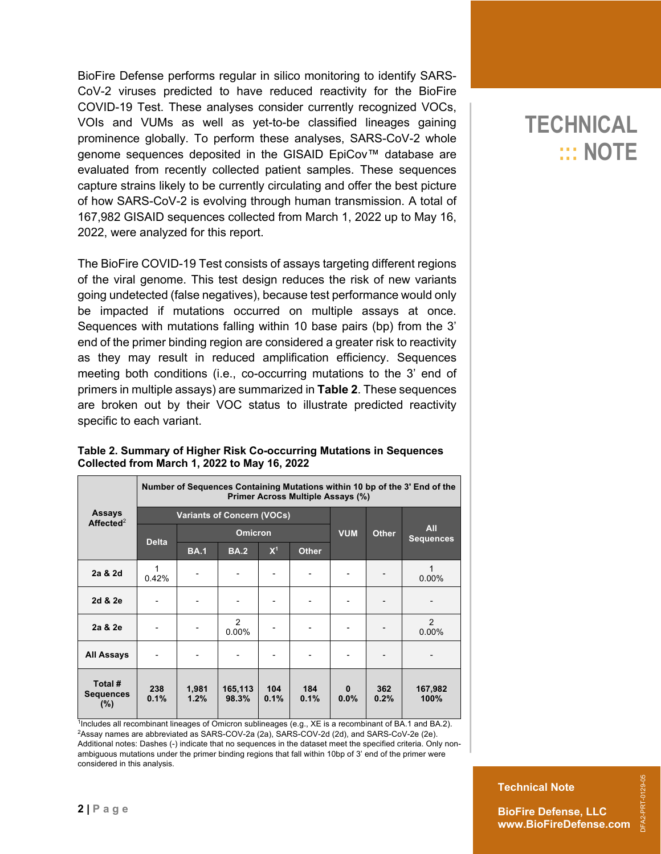BioFire Defense performs regular in silico monitoring to identify SARS-CoV-2 viruses predicted to have reduced reactivity for the BioFire COVID-19 Test. These analyses consider currently recognized VOCs, VOIs and VUMs as well as yet-to-be classified lineages gaining prominence globally. To perform these analyses, SARS-CoV-2 whole genome sequences deposited in the GISAID EpiCov™ database are evaluated from recently collected patient samples. These sequences capture strains likely to be currently circulating and offer the best picture of how SARS-CoV-2 is evolving through human transmission. A total of 167,982 GISAID sequences collected from March 1, 2022 up to May 16, 2022, were analyzed for this report.

The BioFire COVID-19 Test consists of assays targeting different regions of the viral genome. This test design reduces the risk of new variants going undetected (false negatives), because test performance would only be impacted if mutations occurred on multiple assays at once. Sequences with mutations falling within 10 base pairs (bp) from the 3' end of the primer binding region are considered a greater risk to reactivity as they may result in reduced amplification efficiency. Sequences meeting both conditions (i.e., co-occurring mutations to the 3' end of primers in multiple assays) are summarized in **Table 2**. These sequences are broken out by their VOC status to illustrate predicted reactivity specific to each variant.

|                                        | Number of Sequences Containing Mutations within 10 bp of the 3' End of the<br>Primer Across Multiple Assays (%) |                |                            |             |              |                  |                                |                 |  |  |
|----------------------------------------|-----------------------------------------------------------------------------------------------------------------|----------------|----------------------------|-------------|--------------|------------------|--------------------------------|-----------------|--|--|
| Assays<br>Affected <sup>2</sup>        | <b>Variants of Concern (VOCs)</b>                                                                               |                |                            |             |              |                  |                                |                 |  |  |
|                                        | <b>Delta</b>                                                                                                    | <b>Omicron</b> |                            |             | <b>VUM</b>   | <b>Other</b>     | <b>All</b><br><b>Sequences</b> |                 |  |  |
|                                        |                                                                                                                 | <b>BA.1</b>    | <b>BA.2</b>                | $X^1$       | <b>Other</b> |                  |                                |                 |  |  |
| 2a & 2d                                | 0.42%                                                                                                           |                |                            |             |              |                  |                                | 1<br>$0.00\%$   |  |  |
| 2d & 2e                                |                                                                                                                 |                |                            |             |              |                  |                                |                 |  |  |
| 2a & 2e                                |                                                                                                                 |                | $\overline{2}$<br>$0.00\%$ |             |              |                  |                                | 2<br>0.00%      |  |  |
| <b>All Assays</b>                      |                                                                                                                 |                |                            |             |              |                  |                                |                 |  |  |
| Total #<br><b>Sequences</b><br>$(\% )$ | 238<br>0.1%                                                                                                     | 1,981<br>1.2%  | 165,113<br>98.3%           | 104<br>0.1% | 184<br>0.1%  | $\bf{0}$<br>0.0% | 362<br>0.2%                    | 167,982<br>100% |  |  |

#### **Table 2. Summary of Higher Risk Co-occurring Mutations in Sequences Collected from March 1, 2022 to May 16, 2022**

<sup>1</sup>Includes all recombinant lineages of Omicron sublineages (e.g., XE is a recombinant of BA.1 and BA.2). 2Assay names are abbreviated as SARS-COV-2a (2a), SARS-COV-2d (2d), and SARS-CoV-2e (2e). Additional notes: Dashes (-) indicate that no sequences in the dataset meet the specified criteria. Only nonambiguous mutations under the primer binding regions that fall within 10bp of 3' end of the primer were considered in this analysis.

## **TECHNICAL ::: NOTE**

DFA2-PRT-0129-05